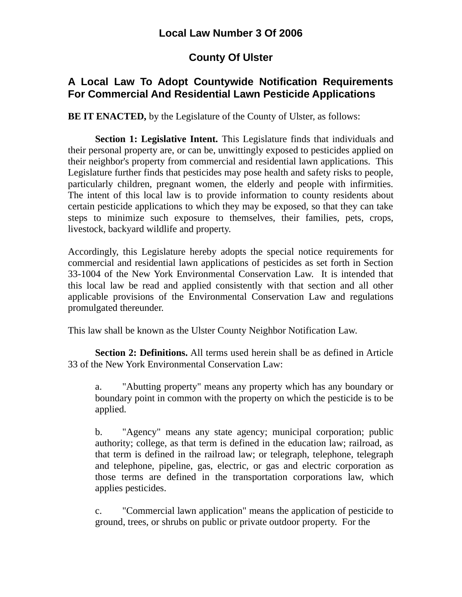#### **Local Law Number 3 Of 2006**

# **County Of Ulster**

### **A Local Law To Adopt Countywide Notification Requirements For Commercial And Residential Lawn Pesticide Applications**

**BE IT ENACTED,** by the Legislature of the County of Ulster, as follows:

**Section 1: Legislative Intent.** This Legislature finds that individuals and their personal property are, or can be, unwittingly exposed to pesticides applied on their neighbor's property from commercial and residential lawn applications. This Legislature further finds that pesticides may pose health and safety risks to people, particularly children, pregnant women, the elderly and people with infirmities. The intent of this local law is to provide information to county residents about certain pesticide applications to which they may be exposed, so that they can take steps to minimize such exposure to themselves, their families, pets, crops, livestock, backyard wildlife and property.

Accordingly, this Legislature hereby adopts the special notice requirements for commercial and residential lawn applications of pesticides as set forth in Section 33-1004 of the New York Environmental Conservation Law. It is intended that this local law be read and applied consistently with that section and all other applicable provisions of the Environmental Conservation Law and regulations promulgated thereunder.

This law shall be known as the Ulster County Neighbor Notification Law.

**Section 2: Definitions.** All terms used herein shall be as defined in Article 33 of the New York Environmental Conservation Law:

a. "Abutting property" means any property which has any boundary or boundary point in common with the property on which the pesticide is to be applied.

b. "Agency" means any state agency; municipal corporation; public authority; college, as that term is defined in the education law; railroad, as that term is defined in the railroad law; or telegraph, telephone, telegraph and telephone, pipeline, gas, electric, or gas and electric corporation as those terms are defined in the transportation corporations law, which applies pesticides.

c. "Commercial lawn application" means the application of pesticide to ground, trees, or shrubs on public or private outdoor property. For the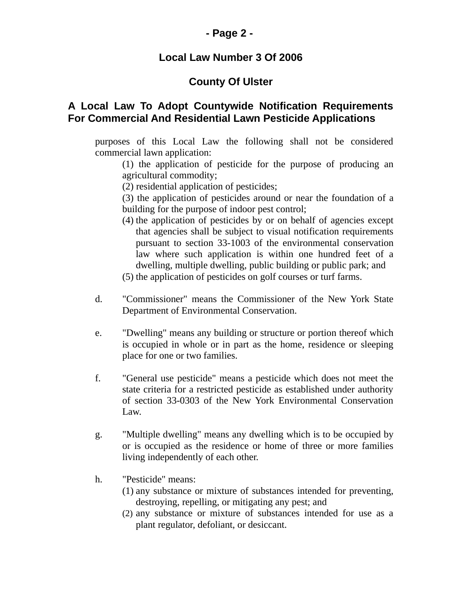### **- Page 2 -**

#### **Local Law Number 3 Of 2006**

# **County Of Ulster**

### **A Local Law To Adopt Countywide Notification Requirements For Commercial And Residential Lawn Pesticide Applications**

purposes of this Local Law the following shall not be considered commercial lawn application:

(1) the application of pesticide for the purpose of producing an agricultural commodity;

- (2) residential application of pesticides;
- (3) the application of pesticides around or near the foundation of a building for the purpose of indoor pest control;
- (4) the application of pesticides by or on behalf of agencies except that agencies shall be subject to visual notification requirements pursuant to section 33-1003 of the environmental conservation law where such application is within one hundred feet of a dwelling, multiple dwelling, public building or public park; and
- (5) the application of pesticides on golf courses or turf farms.
- d. "Commissioner" means the Commissioner of the New York State Department of Environmental Conservation.
- e. "Dwelling" means any building or structure or portion thereof which is occupied in whole or in part as the home, residence or sleeping place for one or two families.
- f. "General use pesticide" means a pesticide which does not meet the state criteria for a restricted pesticide as established under authority of section 33-0303 of the New York Environmental Conservation Law.
- g. "Multiple dwelling" means any dwelling which is to be occupied by or is occupied as the residence or home of three or more families living independently of each other.
- h. "Pesticide" means:
	- (1) any substance or mixture of substances intended for preventing, destroying, repelling, or mitigating any pest; and
	- (2) any substance or mixture of substances intended for use as a plant regulator, defoliant, or desiccant.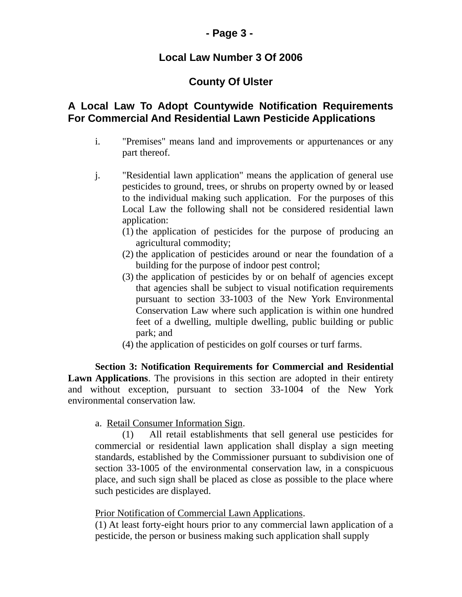### **- Page 3 -**

### **Local Law Number 3 Of 2006**

# **County Of Ulster**

### **A Local Law To Adopt Countywide Notification Requirements For Commercial And Residential Lawn Pesticide Applications**

- i. "Premises" means land and improvements or appurtenances or any part thereof.
- j. "Residential lawn application" means the application of general use pesticides to ground, trees, or shrubs on property owned by or leased to the individual making such application. For the purposes of this Local Law the following shall not be considered residential lawn application:
	- (1) the application of pesticides for the purpose of producing an agricultural commodity;
	- (2) the application of pesticides around or near the foundation of a building for the purpose of indoor pest control;
	- (3) the application of pesticides by or on behalf of agencies except that agencies shall be subject to visual notification requirements pursuant to section 33-1003 of the New York Environmental Conservation Law where such application is within one hundred feet of a dwelling, multiple dwelling, public building or public park; and
	- (4) the application of pesticides on golf courses or turf farms.

**Section 3: Notification Requirements for Commercial and Residential Lawn Applications**. The provisions in this section are adopted in their entirety and without exception, pursuant to section 33-1004 of the New York environmental conservation law.

#### a. Retail Consumer Information Sign.

(1) All retail establishments that sell general use pesticides for commercial or residential lawn application shall display a sign meeting standards, established by the Commissioner pursuant to subdivision one of section 33-1005 of the environmental conservation law, in a conspicuous place, and such sign shall be placed as close as possible to the place where such pesticides are displayed.

#### Prior Notification of Commercial Lawn Applications.

(1) At least forty-eight hours prior to any commercial lawn application of a pesticide, the person or business making such application shall supply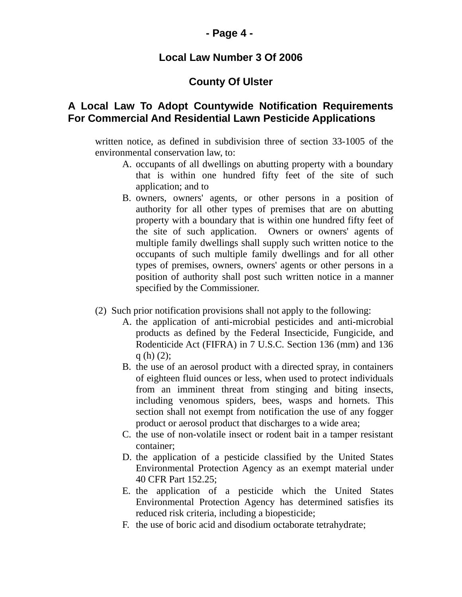#### **- Page 4 -**

#### **Local Law Number 3 Of 2006**

### **County Of Ulster**

#### **A Local Law To Adopt Countywide Notification Requirements For Commercial And Residential Lawn Pesticide Applications**

written notice, as defined in subdivision three of section 33-1005 of the environmental conservation law, to:

- A. occupants of all dwellings on abutting property with a boundary that is within one hundred fifty feet of the site of such application; and to
- B. owners, owners' agents, or other persons in a position of authority for all other types of premises that are on abutting property with a boundary that is within one hundred fifty feet of the site of such application. Owners or owners' agents of multiple family dwellings shall supply such written notice to the occupants of such multiple family dwellings and for all other types of premises, owners, owners' agents or other persons in a position of authority shall post such written notice in a manner specified by the Commissioner.
- (2) Such prior notification provisions shall not apply to the following:
	- A. the application of anti-microbial pesticides and anti-microbial products as defined by the Federal Insecticide, Fungicide, and Rodenticide Act (FIFRA) in 7 U.S.C. Section 136 (mm) and 136 q (h) (2);
	- B. the use of an aerosol product with a directed spray, in containers of eighteen fluid ounces or less, when used to protect individuals from an imminent threat from stinging and biting insects, including venomous spiders, bees, wasps and hornets. This section shall not exempt from notification the use of any fogger product or aerosol product that discharges to a wide area;
	- C. the use of non-volatile insect or rodent bait in a tamper resistant container;
	- D. the application of a pesticide classified by the United States Environmental Protection Agency as an exempt material under 40 CFR Part 152.25;
	- E. the application of a pesticide which the United States Environmental Protection Agency has determined satisfies its reduced risk criteria, including a biopesticide;
	- F. the use of boric acid and disodium octaborate tetrahydrate;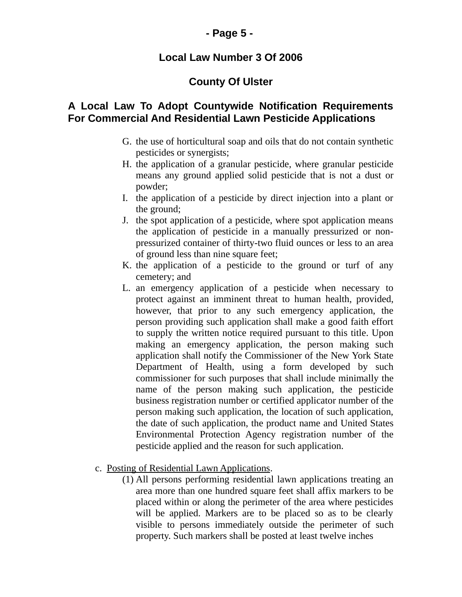### **- Page 5 -**

#### **Local Law Number 3 Of 2006**

# **County Of Ulster**

### **A Local Law To Adopt Countywide Notification Requirements For Commercial And Residential Lawn Pesticide Applications**

- G. the use of horticultural soap and oils that do not contain synthetic pesticides or synergists;
- H. the application of a granular pesticide, where granular pesticide means any ground applied solid pesticide that is not a dust or powder;
- I. the application of a pesticide by direct injection into a plant or the ground;
- J. the spot application of a pesticide, where spot application means the application of pesticide in a manually pressurized or nonpressurized container of thirty-two fluid ounces or less to an area of ground less than nine square feet;
- K. the application of a pesticide to the ground or turf of any cemetery; and
- L. an emergency application of a pesticide when necessary to protect against an imminent threat to human health, provided, however, that prior to any such emergency application, the person providing such application shall make a good faith effort to supply the written notice required pursuant to this title. Upon making an emergency application, the person making such application shall notify the Commissioner of the New York State Department of Health, using a form developed by such commissioner for such purposes that shall include minimally the name of the person making such application, the pesticide business registration number or certified applicator number of the person making such application, the location of such application, the date of such application, the product name and United States Environmental Protection Agency registration number of the pesticide applied and the reason for such application.
- c. Posting of Residential Lawn Applications.
	- (1) All persons performing residential lawn applications treating an area more than one hundred square feet shall affix markers to be placed within or along the perimeter of the area where pesticides will be applied. Markers are to be placed so as to be clearly visible to persons immediately outside the perimeter of such property. Such markers shall be posted at least twelve inches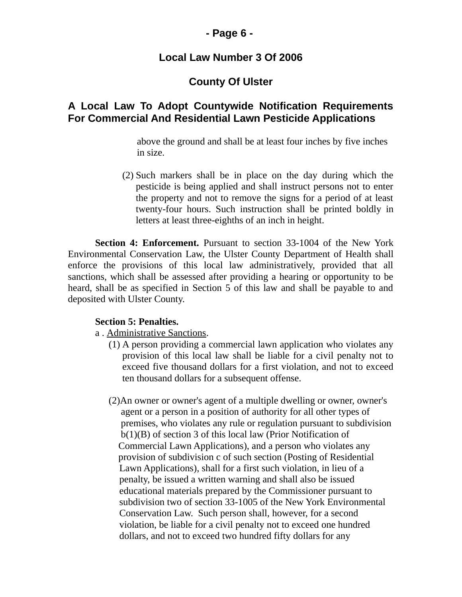#### **- Page 6 -**

#### **Local Law Number 3 Of 2006**

### **County Of Ulster**

### **A Local Law To Adopt Countywide Notification Requirements For Commercial And Residential Lawn Pesticide Applications**

 above the ground and shall be at least four inches by five inches in size.

(2) Such markers shall be in place on the day during which the pesticide is being applied and shall instruct persons not to enter the property and not to remove the signs for a period of at least twenty-four hours. Such instruction shall be printed boldly in letters at least three-eighths of an inch in height.

**Section 4: Enforcement.** Pursuant to section 33-1004 of the New York Environmental Conservation Law, the Ulster County Department of Health shall enforce the provisions of this local law administratively, provided that all sanctions, which shall be assessed after providing a hearing or opportunity to be heard, shall be as specified in Section 5 of this law and shall be payable to and deposited with Ulster County.

#### **Section 5: Penalties.**

- a . Administrative Sanctions.
	- (1) A person providing a commercial lawn application who violates any provision of this local law shall be liable for a civil penalty not to exceed five thousand dollars for a first violation, and not to exceed ten thousand dollars for a subsequent offense.
	- (2)An owner or owner's agent of a multiple dwelling or owner, owner's agent or a person in a position of authority for all other types of premises, who violates any rule or regulation pursuant to subdivision b(1)(B) of section 3 of this local law (Prior Notification of Commercial Lawn Applications), and a person who violates any provision of subdivision c of such section (Posting of Residential Lawn Applications), shall for a first such violation, in lieu of a penalty, be issued a written warning and shall also be issued educational materials prepared by the Commissioner pursuant to subdivision two of section 33-1005 of the New York Environmental Conservation Law. Such person shall, however, for a second violation, be liable for a civil penalty not to exceed one hundred dollars, and not to exceed two hundred fifty dollars for any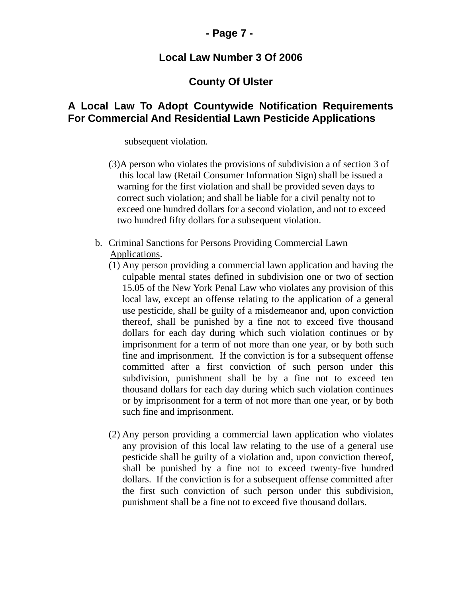### **- Page 7 -**

#### **Local Law Number 3 Of 2006**

#### **County Of Ulster**

#### **A Local Law To Adopt Countywide Notification Requirements For Commercial And Residential Lawn Pesticide Applications**

subsequent violation.

- (3)A person who violates the provisions of subdivision a of section 3 of this local law (Retail Consumer Information Sign) shall be issued a warning for the first violation and shall be provided seven days to correct such violation; and shall be liable for a civil penalty not to exceed one hundred dollars for a second violation, and not to exceed two hundred fifty dollars for a subsequent violation.
- b. Criminal Sanctions for Persons Providing Commercial Lawn Applications.
	- (1) Any person providing a commercial lawn application and having the culpable mental states defined in subdivision one or two of section 15.05 of the New York Penal Law who violates any provision of this local law, except an offense relating to the application of a general use pesticide, shall be guilty of a misdemeanor and, upon conviction thereof, shall be punished by a fine not to exceed five thousand dollars for each day during which such violation continues or by imprisonment for a term of not more than one year, or by both such fine and imprisonment. If the conviction is for a subsequent offense committed after a first conviction of such person under this subdivision, punishment shall be by a fine not to exceed ten thousand dollars for each day during which such violation continues or by imprisonment for a term of not more than one year, or by both such fine and imprisonment.
	- (2) Any person providing a commercial lawn application who violates any provision of this local law relating to the use of a general use pesticide shall be guilty of a violation and, upon conviction thereof, shall be punished by a fine not to exceed twenty-five hundred dollars. If the conviction is for a subsequent offense committed after the first such conviction of such person under this subdivision, punishment shall be a fine not to exceed five thousand dollars.